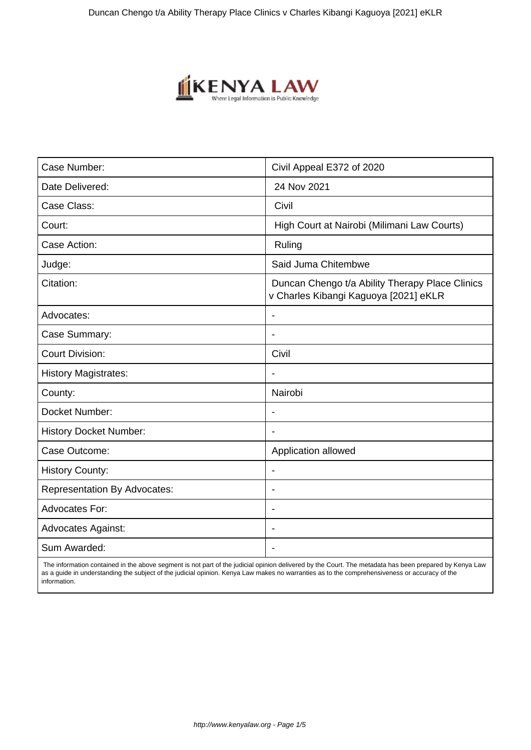

| Case Number:                        | Civil Appeal E372 of 2020                                                                |
|-------------------------------------|------------------------------------------------------------------------------------------|
| Date Delivered:                     | 24 Nov 2021                                                                              |
| Case Class:                         | Civil                                                                                    |
| Court:                              | High Court at Nairobi (Milimani Law Courts)                                              |
| Case Action:                        | Ruling                                                                                   |
| Judge:                              | Said Juma Chitembwe                                                                      |
| Citation:                           | Duncan Chengo t/a Ability Therapy Place Clinics<br>v Charles Kibangi Kaguoya [2021] eKLR |
| Advocates:                          |                                                                                          |
| Case Summary:                       |                                                                                          |
| <b>Court Division:</b>              | Civil                                                                                    |
| <b>History Magistrates:</b>         | $\blacksquare$                                                                           |
| County:                             | Nairobi                                                                                  |
| Docket Number:                      |                                                                                          |
| <b>History Docket Number:</b>       |                                                                                          |
| Case Outcome:                       | Application allowed                                                                      |
| <b>History County:</b>              | $\blacksquare$                                                                           |
| <b>Representation By Advocates:</b> | $\overline{\phantom{a}}$                                                                 |
| <b>Advocates For:</b>               | $\overline{\phantom{a}}$                                                                 |
| <b>Advocates Against:</b>           | $\blacksquare$                                                                           |
| Sum Awarded:                        |                                                                                          |

 The information contained in the above segment is not part of the judicial opinion delivered by the Court. The metadata has been prepared by Kenya Law as a guide in understanding the subject of the judicial opinion. Kenya Law makes no warranties as to the comprehensiveness or accuracy of the information.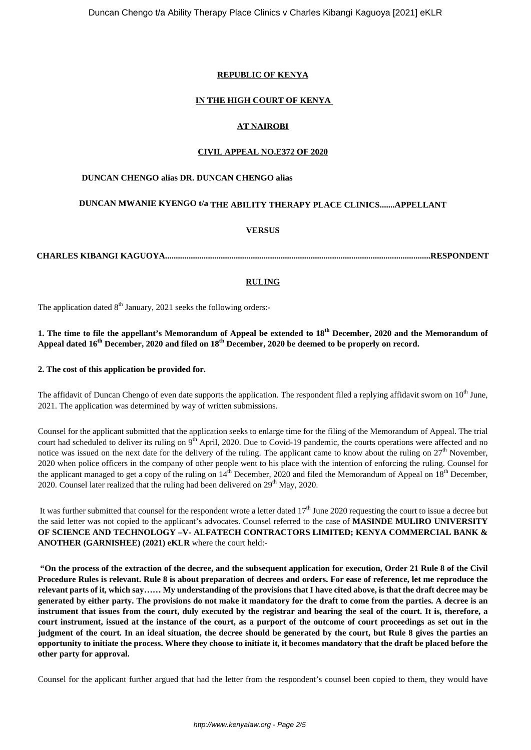# **REPUBLIC OF KENYA**

## **IN THE HIGH COURT OF KENYA**

## **AT NAIROBI**

#### **CIVIL APPEAL NO.E372 OF 2020**

#### **DUNCAN CHENGO alias DR. DUNCAN CHENGO alias**

# **DUNCAN MWANIE KYENGO t/a THE ABILITY THERAPY PLACE CLINICS.......APPELLANT**

## **VERSUS**

**CHARLES KIBANGI KAGUOYA............................................................................................................................RESPONDENT**

## **RULING**

The application dated  $8<sup>th</sup>$  January, 2021 seeks the following orders:-

# **1. The time to file the appellant's Memorandum of Appeal be extended to 18th December, 2020 and the Memorandum of Appeal dated 16th December, 2020 and filed on 18th December, 2020 be deemed to be properly on record.**

#### **2. The cost of this application be provided for.**

The affidavit of Duncan Chengo of even date supports the application. The respondent filed a replying affidavit sworn on 10<sup>th</sup> June. 2021. The application was determined by way of written submissions.

Counsel for the applicant submitted that the application seeks to enlarge time for the filing of the Memorandum of Appeal. The trial court had scheduled to deliver its ruling on 9<sup>th</sup> April, 2020. Due to Covid-19 pandemic, the courts operations were affected and no notice was issued on the next date for the delivery of the ruling. The applicant came to know about the ruling on 27<sup>th</sup> November, 2020 when police officers in the company of other people went to his place with the intention of enforcing the ruling. Counsel for the applicant managed to get a copy of the ruling on  $14^{\text{th}}$  December, 2020 and filed the Memorandum of Appeal on  $18^{\text{th}}$  December,  $2020$ . Counsel later realized that the ruling had been delivered on  $29<sup>th</sup>$  May,  $2020$ .

It was further submitted that counsel for the respondent wrote a letter dated  $17<sup>th</sup>$  June 2020 requesting the court to issue a decree but the said letter was not copied to the applicant's advocates. Counsel referred to the case of **MASINDE MULIRO UNIVERSITY OF SCIENCE AND TECHNOLOGY –V- ALFATECH CONTRACTORS LIMITED; KENYA COMMERCIAL BANK & ANOTHER (GARNISHEE) (2021) eKLR** where the court held:-

**"On the process of the extraction of the decree, and the subsequent application for execution, Order 21 Rule 8 of the Civil Procedure Rules is relevant. Rule 8 is about preparation of decrees and orders. For ease of reference, let me reproduce the relevant parts of it, which say…… My understanding of the provisions that I have cited above, is that the draft decree may be generated by either party. The provisions do not make it mandatory for the draft to come from the parties. A decree is an instrument that issues from the court, duly executed by the registrar and bearing the seal of the court. It is, therefore, a court instrument, issued at the instance of the court, as a purport of the outcome of court proceedings as set out in the judgment of the court. In an ideal situation, the decree should be generated by the court, but Rule 8 gives the parties an opportunity to initiate the process. Where they choose to initiate it, it becomes mandatory that the draft be placed before the other party for approval.**

Counsel for the applicant further argued that had the letter from the respondent's counsel been copied to them, they would have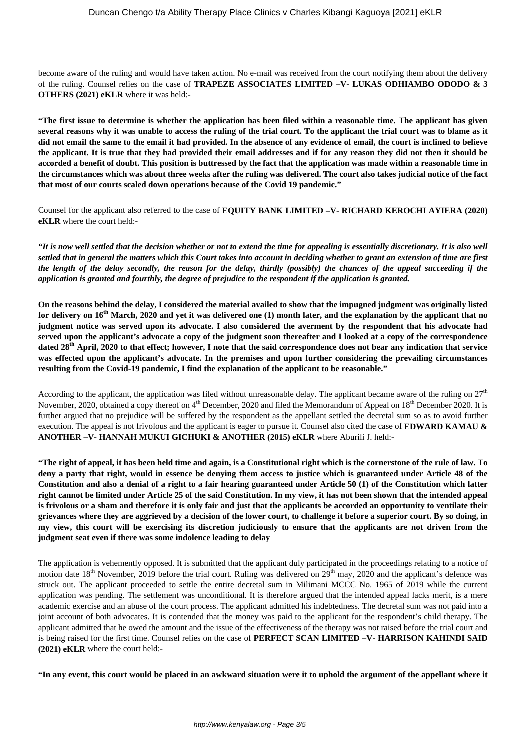become aware of the ruling and would have taken action. No e-mail was received from the court notifying them about the delivery of the ruling. Counsel relies on the case of **TRAPEZE ASSOCIATES LIMITED –V- LUKAS ODHIAMBO ODODO & 3 OTHERS (2021) eKLR** where it was held:-

**"The first issue to determine is whether the application has been filed within a reasonable time. The applicant has given several reasons why it was unable to access the ruling of the trial court. To the applicant the trial court was to blame as it did not email the same to the email it had provided. In the absence of any evidence of email, the court is inclined to believe the applicant. It is true that they had provided their email addresses and if for any reason they did not then it should be accorded a benefit of doubt. This position is buttressed by the fact that the application was made within a reasonable time in the circumstances which was about three weeks after the ruling was delivered. The court also takes judicial notice of the fact that most of our courts scaled down operations because of the Covid 19 pandemic."**

Counsel for the applicant also referred to the case of **EQUITY BANK LIMITED –V- RICHARD KEROCHI AYIERA (2020) eKLR** where the court held:**-**

*"It is now well settled that the decision whether or not to extend the time for appealing is essentially discretionary. It is also well settled that in general the matters which this Court takes into account in deciding whether to grant an extension of time are first the length of the delay secondly, the reason for the delay, thirdly (possibly) the chances of the appeal succeeding if the application is granted and fourthly, the degree of prejudice to the respondent if the application is granted.*

**On the reasons behind the delay, I considered the material availed to show that the impugned judgment was originally listed for delivery on 16th March, 2020 and yet it was delivered one (1) month later, and the explanation by the applicant that no judgment notice was served upon its advocate. I also considered the averment by the respondent that his advocate had served upon the applicant's advocate a copy of the judgment soon thereafter and I looked at a copy of the correspondence dated 28th April, 2020 to that effect; however, I note that the said correspondence does not bear any indication that service was effected upon the applicant's advocate. In the premises and upon further considering the prevailing circumstances resulting from the Covid-19 pandemic, I find the explanation of the applicant to be reasonable."**

According to the applicant, the application was filed without unreasonable delay. The applicant became aware of the ruling on  $27<sup>th</sup>$ November, 2020, obtained a copy thereof on 4<sup>th</sup> December, 2020 and filed the Memorandum of Appeal on 18<sup>th</sup> December 2020. It is further argued that no prejudice will be suffered by the respondent as the appellant settled the decretal sum so as to avoid further execution. The appeal is not frivolous and the applicant is eager to pursue it. Counsel also cited the case of **EDWARD KAMAU & ANOTHER –V- HANNAH MUKUI GICHUKI & ANOTHER (2015) eKLR** where Aburili J. held:-

**"The right of appeal, it has been held time and again, is a Constitutional right which is the cornerstone of the rule of law. To deny a party that right, would in essence be denying them access to justice which is guaranteed under Article 48 of the Constitution and also a denial of a right to a fair hearing guaranteed under Article 50 (1) of the Constitution which latter right cannot be limited under Article 25 of the said Constitution. In my view, it has not been shown that the intended appeal is frivolous or a sham and therefore it is only fair and just that the applicants be accorded an opportunity to ventilate their grievances where they are aggrieved by a decision of the lower court, to challenge it before a superior court. By so doing, in my view, this court will be exercising its discretion judiciously to ensure that the applicants are not driven from the judgment seat even if there was some indolence leading to delay**

The application is vehemently opposed. It is submitted that the applicant duly participated in the proceedings relating to a notice of motion date  $18<sup>th</sup>$  November, 2019 before the trial court. Ruling was delivered on  $29<sup>th</sup>$  may, 2020 and the applicant's defence was struck out. The applicant proceeded to settle the entire decretal sum in Milimani MCCC No. 1965 of 2019 while the current application was pending. The settlement was unconditional. It is therefore argued that the intended appeal lacks merit, is a mere academic exercise and an abuse of the court process. The applicant admitted his indebtedness. The decretal sum was not paid into a joint account of both advocates. It is contended that the money was paid to the applicant for the respondent's child therapy. The applicant admitted that he owed the amount and the issue of the effectiveness of the therapy was not raised before the trial court and is being raised for the first time. Counsel relies on the case of **PERFECT SCAN LIMITED –V- HARRISON KAHINDI SAID (2021) eKLR** where the court held:-

**"In any event, this court would be placed in an awkward situation were it to uphold the argument of the appellant where it**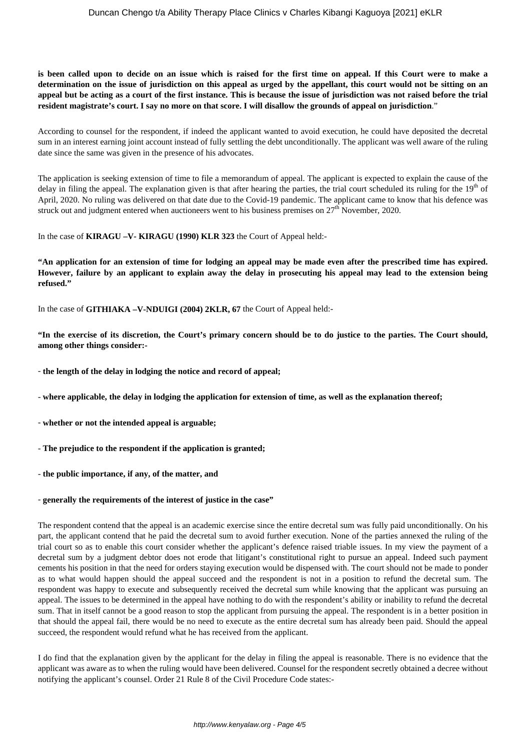**is been called upon to decide on an issue which is raised for the first time on appeal. If this Court were to make a determination on the issue of jurisdiction on this appeal as urged by the appellant, this court would not be sitting on an appeal but be acting as a court of the first instance. This is because the issue of jurisdiction was not raised before the trial resident magistrate's court. I say no more on that score. I will disallow the grounds of appeal on jurisdiction**."

According to counsel for the respondent, if indeed the applicant wanted to avoid execution, he could have deposited the decretal sum in an interest earning joint account instead of fully settling the debt unconditionally. The applicant was well aware of the ruling date since the same was given in the presence of his advocates.

The application is seeking extension of time to file a memorandum of appeal. The applicant is expected to explain the cause of the delay in filing the appeal. The explanation given is that after hearing the parties, the trial court scheduled its ruling for the  $19<sup>th</sup>$  of April, 2020. No ruling was delivered on that date due to the Covid-19 pandemic. The applicant came to know that his defence was struck out and judgment entered when auctioneers went to his business premises on  $27<sup>th</sup>$  November, 2020.

In the case of **KIRAGU –V- KIRAGU (1990) KLR 323** the Court of Appeal held:-

**"An application for an extension of time for lodging an appeal may be made even after the prescribed time has expired. However, failure by an applicant to explain away the delay in prosecuting his appeal may lead to the extension being refused."**

In the case of **GITHIAKA –V-NDUIGI (2004) 2KLR, 67** the Court of Appeal held:-

**"In the exercise of its discretion, the Court's primary concern should be to do justice to the parties. The Court should, among other things consider:-**

- **the length of the delay in lodging the notice and record of appeal;**

- **where applicable, the delay in lodging the application for extension of time, as well as the explanation thereof;**

- **whether or not the intended appeal is arguable;**
- **The prejudice to the respondent if the application is granted;**
- **the public importance, if any, of the matter, and**

#### - **generally the requirements of the interest of justice in the case"**

The respondent contend that the appeal is an academic exercise since the entire decretal sum was fully paid unconditionally. On his part, the applicant contend that he paid the decretal sum to avoid further execution. None of the parties annexed the ruling of the trial court so as to enable this court consider whether the applicant's defence raised triable issues. In my view the payment of a decretal sum by a judgment debtor does not erode that litigant's constitutional right to pursue an appeal. Indeed such payment cements his position in that the need for orders staying execution would be dispensed with. The court should not be made to ponder as to what would happen should the appeal succeed and the respondent is not in a position to refund the decretal sum. The respondent was happy to execute and subsequently received the decretal sum while knowing that the applicant was pursuing an appeal. The issues to be determined in the appeal have nothing to do with the respondent's ability or inability to refund the decretal sum. That in itself cannot be a good reason to stop the applicant from pursuing the appeal. The respondent is in a better position in that should the appeal fail, there would be no need to execute as the entire decretal sum has already been paid. Should the appeal succeed, the respondent would refund what he has received from the applicant.

I do find that the explanation given by the applicant for the delay in filing the appeal is reasonable. There is no evidence that the applicant was aware as to when the ruling would have been delivered. Counsel for the respondent secretly obtained a decree without notifying the applicant's counsel. Order 21 Rule 8 of the Civil Procedure Code states:-